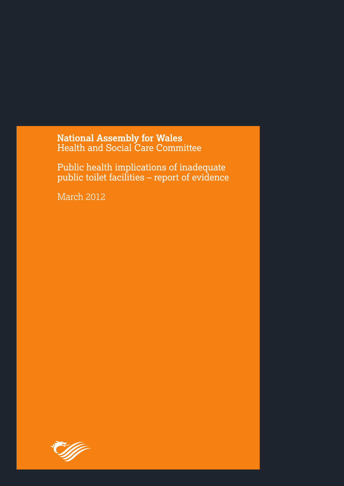National Assembly for Wales<br>Health and Social Care Committee

Public health implications of inadequate public toilet facilities – report of evidence

March 2012

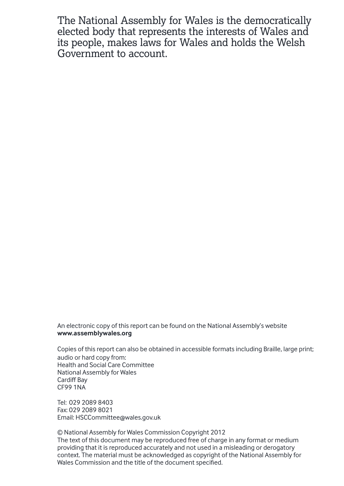The National Assembly for Wales is the democratically elected body that represents the interests of Wales and its people, makes laws for Wales and holds the Welsh Government to account.

An electronic copy of this report can be found on the National Assembly's website **www.assemblywales.org**

Copies of this report can also be obtained in accessible formats including Braille, large print; audio or hard copy from: Health and Social Care Committee National Assembly for Wales Cardiff Bay CF99 1NA

Tel: 029 2089 8403 Fax: 029 2089 8021 Email: HSCCommittee@wales.gov.uk

© National Assembly for Wales Commission Copyright 2012 The text of this document may be reproduced free of charge in any format or medium providing that it is reproduced accurately and not used in a misleading or derogatory context. The material must be acknowledged as copyright of the National Assembly for Wales Commission and the title of the document specified.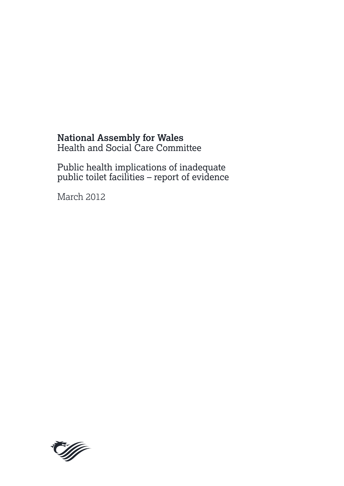# **National Assembly for Wales**

Health and Social Care Committee

Public health implications of inadequate public toilet facilities – report of evidence

March 2012

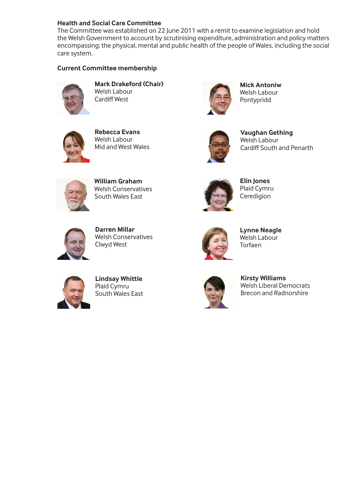#### **Health and Social Care Committee**

The Committee was established on 22 June 2011 with a remit to examine legislation and hold the Welsh Government to account by scrutinising expenditure, administration and policy matters encompassing: the physical, mental and public health of the people of Wales, including the social care system.

#### **Current Committee membership**



**Mark Drakeford (Chair)**  Welsh Labour Cardiff West

**Rebecca Evans**  Welsh Labour Mid and West Wales



**Mick Antoniw**  Welsh Labour Pontypridd



**Vaughan Gething**  Welsh Labour Cardiff South and Penarth



**William Graham** Welsh Conservatives South Wales East



**Elin Jones**  Plaid Cymru Ceredigion



**Darren Millar**  Welsh Conservatives Clwyd West



**Lynne Neagle**  Welsh Labour Torfaen



**Lindsay Whittle**  Plaid Cymru South Wales East



**Kirsty Williams**  Welsh Liberal Democrats Brecon and Radnorshire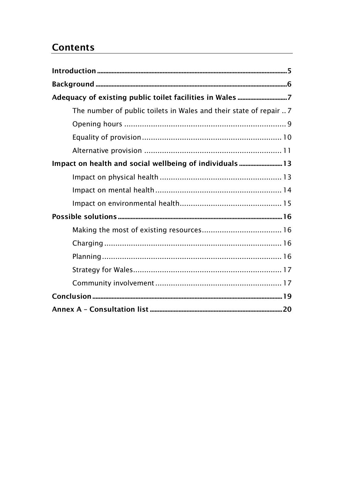# **Contents**

| The number of public toilets in Wales and their state of repair  7 |  |
|--------------------------------------------------------------------|--|
|                                                                    |  |
|                                                                    |  |
|                                                                    |  |
| Impact on health and social wellbeing of individuals  13           |  |
|                                                                    |  |
|                                                                    |  |
|                                                                    |  |
|                                                                    |  |
|                                                                    |  |
|                                                                    |  |
|                                                                    |  |
|                                                                    |  |
|                                                                    |  |
|                                                                    |  |
|                                                                    |  |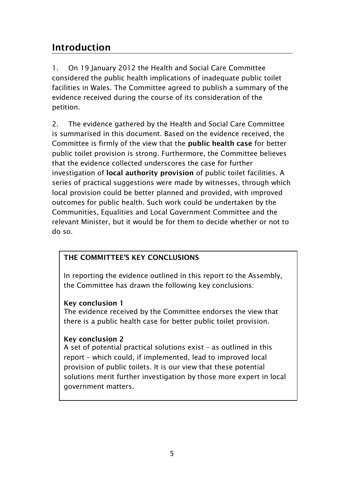# <span id="page-6-0"></span>**Introduction**

1. On 19 January 2012 the Health and Social Care Committee considered the public health implications of inadequate public toilet facilities in Wales. The Committee agreed to publish a summary of the evidence received during the course of its consideration of the petition.

2. The evidence gathered by the Health and Social Care Committee is summarised in this document. Based on the evidence received, the Committee is firmly of the view that the **public health case** for better public toilet provision is strong. Furthermore, the Committee believes that the evidence collected underscores the case for further investigation of **local authority provision** of public toilet facilities. A series of practical suggestions were made by witnesses, through which local provision could be better planned and provided, with improved outcomes for public health. Such work could be undertaken by the Communities, Equalities and Local Government Committee and the relevant Minister, but it would be for them to decide whether or not to do so.

# <span id="page-6-1"></span>**THE COMMITTEE'S KEY CONCLUSIONS**

In reporting the evidence outlined in this report to the Assembly, the Committee has drawn the following key conclusions:

## **Key conclusion 1**

The evidence received by the Committee endorses the view that there is a public health case for better public toilet provision.

## **Key conclusion 2**

A set of potential practical solutions exist – as outlined in this report – which could, if implemented, lead to improved local provision of public toilets. It is our view that these potential solutions merit further investigation by those more expert in local government matters.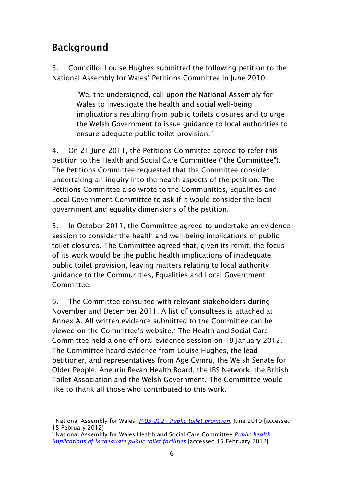# **Background**

3. Councillor Louise Hughes submitted the following petition to the National Assembly for Wales' Petitions Committee in June 2010:

> "We, the undersigned, call upon the National Assembly for Wales to investigate the health and social well-being implications resulting from public toilets closures and to urge the Welsh Government to issue guidance to local authorities to ensure adequate public toilet provision."<sup>1</sup>

4. On 21 June 2011, the Petitions Committee agreed to refer this petition to the Health and Social Care Committee ("the Committee"). The Petitions Committee requested that the Committee consider undertaking an inquiry into the health aspects of the petition. The Petitions Committee also wrote to the Communities, Equalities and Local Government Committee to ask if it would consider the local government and equality dimensions of the petition.

5. In October 2011, the Committee agreed to undertake an evidence session to consider the health and well-being implications of public toilet closures. The Committee agreed that, given its remit, the focus of its work would be the public health implications of inadequate public toilet provision, leaving matters relating to local authority guidance to the Communities, Equalities and Local Government Committee.

6. The Committee consulted with relevant stakeholders during November and December 2011. A list of consultees is attached at Annex A. All written evidence submitted to the Committee can be viewed on the Committee's website. <sup>2</sup> The Health and Social Care Committee held a one-off oral evidence session on 19 January 2012. The Committee heard evidence from Louise Hughes, the lead petitioner, and representatives from Age Cymru, the Welsh Senate for Older People, Aneurin Bevan Health Board, the IBS Network, the British Toilet Association and the Welsh Government. The Committee would like to thank all those who contributed to this work.

<sup>-</sup><sup>1</sup> National Assembly for Wales, *P-03-292* - *[Public toilet provision](http://senedd.assemblywales.org/mgIssueHistoryHome.aspx?IId=887)*, June 2010 [accessed 15 February 2012]

<sup>2</sup> National Assembly for Wales Health and Social Care Committee *[Public health](http://www.senedd.assemblywales.org/mgIssueHistoryHome.aspx?IId=2572)  [implications of inadequate public toilet facilities](http://www.senedd.assemblywales.org/mgIssueHistoryHome.aspx?IId=2572)* [accessed 15 February 2012]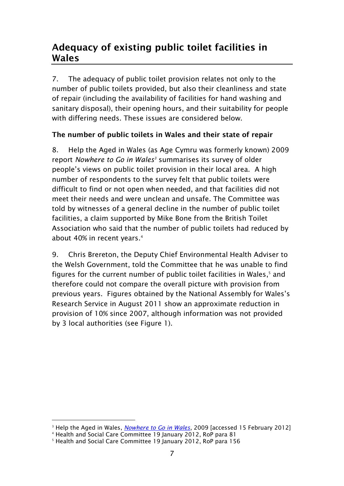# <span id="page-8-0"></span>**Adequacy of existing public toilet facilities in Wales**

7. The adequacy of public toilet provision relates not only to the number of public toilets provided, but also their cleanliness and state of repair (including the availability of facilities for hand washing and sanitary disposal), their opening hours, and their suitability for people with differing needs. These issues are considered below.

# <span id="page-8-1"></span>**The number of public toilets in Wales and their state of repair**

8. Help the Aged in Wales (as Age Cymru was formerly known) 2009 report *Nowhere to Go in Wales<sup>3</sup>* summarises its survey of older people's views on public toilet provision in their local area. A high number of respondents to the survey felt that public toilets were difficult to find or not open when needed, and that facilities did not meet their needs and were unclean and unsafe. The Committee was told by witnesses of a general decline in the number of public toilet facilities, a claim supported by Mike Bone from the British Toilet Association who said that the number of public toilets had reduced by about 40% in recent years. 4

9. Chris Brereton, the Deputy Chief Environmental Health Adviser to the Welsh Government, told the Committee that he was unable to find figures for the current number of public toilet facilities in Wales, <sup>5</sup> and therefore could not compare the overall picture with provision from previous years. Figures obtained by the National Assembly for Wales's Research Service in August 2011 show an approximate reduction in provision of 10% since 2007, although information was not provided by 3 local authorities (see Figure 1).

-

<sup>&</sup>lt;sup>3</sup> Help the Aged in Wales, *[Nowhere to Go in Wales](http://www.senedd.assemblywales.org/documents/s1121/P-03-292%20Adequate%20public%20toilet%20provision.pdf)*, 2009 [accessed 15 February 2012]

<sup>4</sup> Health and Social Care Committee 19 January 2012, RoP para 81

<sup>5</sup> Health and Social Care Committee 19 January 2012, RoP para 156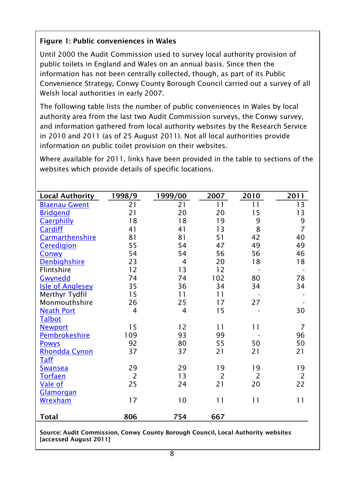# **Figure 1: Public conveniences in Wales**

Until 2000 the Audit Commission used to survey local authority provision of public toilets in England and Wales on an annual basis. Since then the information has not been centrally collected, though, as part of its Public Convenience Strategy, Conwy County Borough Council carried out a survey of all Welsh local authorities in early 2007.

The following table lists the number of public conveniences in Wales by local authority area from the last two Audit Commission surveys, the Conwy survey, and information gathered from local authority websites by the Research Service in 2010 and 2011 (as of 25 August 2011). Not all local authorities provide information on public toilet provision on their websites.

Where available for 2011, links have been provided in the table to sections of the websites which provide details of specific locations.

| <b>Local Authority</b>  | 1998/9         | 1999/00        | 2007           | 2010           | 2011           |
|-------------------------|----------------|----------------|----------------|----------------|----------------|
| <b>Blaenau Gwent</b>    | 21             | 21             | 11             | 11             | 13             |
| <b>Bridgend</b>         | 21             | 20             | 20             | 15             | 13             |
| <b>Caerphilly</b>       | 18             | 18             | 19             | 9              | 9              |
| <b>Cardiff</b>          | 41             | 41             | 13             | 8              | $\overline{7}$ |
| Carmarthenshire         | 81             | 81             | 51             | 42             | 40             |
| <b>Ceredigion</b>       | 55             | 54             | 47             | 49             | 49             |
| Conwy                   | 54             | 54             | 56             | 56             | 46             |
| <b>Denbighshire</b>     | 23             | $\overline{4}$ | 20             | 18             | 18             |
| Flintshire              | 12             | 13             | 12             |                |                |
| Gwynedd                 | 74             | 74             | 102            | 80             | 78             |
| <b>Isle of Anglesey</b> | 35             | 36             | 34             | 34             | 34             |
| Merthyr Tydfil          | 15             | 11             | 11             |                |                |
| Monmouthshire           | 26             | 25             | 17             | 27             |                |
| <b>Neath Port</b>       | $\overline{4}$ | $\overline{4}$ | 15             |                | 30             |
| Talbot                  |                |                |                |                |                |
| <b>Newport</b>          | 15             | 12             | 11             | 11             | $\overline{7}$ |
| <b>Pembrokeshire</b>    | 109            | 93             | 99             |                | 96             |
| <b>Powys</b>            | 92             | 80             | 55             | 50             | 50             |
| Rhondda Cynon           | 37             | 37             | 21             | 21             | 21             |
| <b>Taff</b>             |                |                |                |                |                |
| <u>Swansea</u>          | 29             | 29             | 19             | 19             | 19             |
| <b>Torfaen</b>          | $\overline{2}$ | 13             | $\overline{2}$ | $\overline{2}$ | $\overline{2}$ |
| Vale of                 | 25             | 24             | 21             | 20             | 22             |
| Glamorgan               |                |                |                |                |                |
| Wrexham                 | 17             | 10             | 11             | 11             | 11             |
|                         |                |                |                |                |                |
| <b>Total</b>            | 806            | 754            | 667            |                |                |

**Source: Audit Commission, Conwy County Borough Council, Local Authority websites [accessed August 2011]**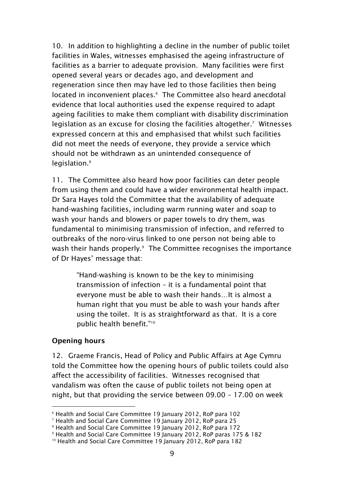10. In addition to highlighting a decline in the number of public toilet facilities in Wales, witnesses emphasised the ageing infrastructure of facilities as a barrier to adequate provision. Many facilities were first opened several years or decades ago, and development and regeneration since then may have led to those facilities then being located in inconvenient places. 6 The Committee also heard anecdotal evidence that local authorities used the expense required to adapt ageing facilities to make them compliant with disability discrimination legislation as an excuse for closing the facilities altogether. 7 Witnesses expressed concern at this and emphasised that whilst such facilities did not meet the needs of everyone, they provide a service which should not be withdrawn as an unintended consequence of legislation. 8

11. The Committee also heard how poor facilities can deter people from using them and could have a wider environmental health impact. Dr Sara Hayes told the Committee that the availability of adequate hand-washing facilities, including warm running water and soap to wash your hands and blowers or paper towels to dry them, was fundamental to minimising transmission of infection, and referred to outbreaks of the noro-virus linked to one person not being able to wash their hands properly. 9 The Committee recognises the importance of Dr Hayes' message that:

> "Hand-washing is known to be the key to minimising transmission of infection – it is a fundamental point that everyone must be able to wash their hands…It is almost a human right that you must be able to wash your hands after using the toilet. It is as straightforward as that. It is a core public health benefit."<sup>10</sup>

### <span id="page-10-0"></span>**Opening hours**

-

12. Graeme Francis, Head of Policy and Public Affairs at Age Cymru told the Committee how the opening hours of public toilets could also affect the accessibility of facilities. Witnesses recognised that vandalism was often the cause of public toilets not being open at night, but that providing the service between 09.00 – 17.00 on week

<sup>6</sup> Health and Social Care Committee 19 January 2012, RoP para 102

<sup>7</sup> Health and Social Care Committee 19 January 2012, RoP para 25

<sup>&</sup>lt;sup>8</sup> Health and Social Care Committee 19 January 2012, RoP para 172

<sup>9</sup> Health and Social Care Committee 19 January 2012, RoP paras 175 & 182

<sup>&</sup>lt;sup>10</sup> Health and Social Care Committee 19 January 2012, RoP para 182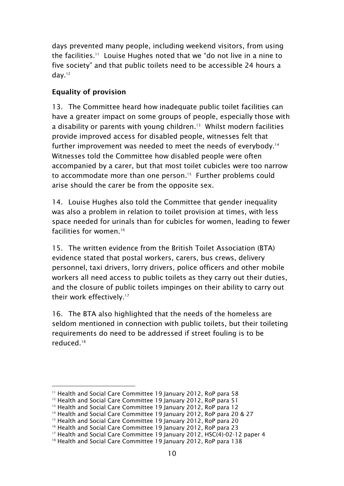days prevented many people, including weekend visitors, from using the facilities. 11 Louise Hughes noted that we "do not live in a nine to five society" and that public toilets need to be accessible 24 hours a day. 12

## <span id="page-11-0"></span>**Equality of provision**

13. The Committee heard how inadequate public toilet facilities can have a greater impact on some groups of people, especially those with a disability or parents with young children. 13 Whilst modern facilities provide improved access for disabled people, witnesses felt that further improvement was needed to meet the needs of everybody. 14 Witnesses told the Committee how disabled people were often accompanied by a carer, but that most toilet cubicles were too narrow to accommodate more than one person. 15 Further problems could arise should the carer be from the opposite sex.

14. Louise Hughes also told the Committee that gender inequality was also a problem in relation to toilet provision at times, with less space needed for urinals than for cubicles for women, leading to fewer facilities for women. 16

15. The written evidence from the British Toilet Association (BTA) evidence stated that postal workers, carers, bus crews, delivery personnel, taxi drivers, lorry drivers, police officers and other mobile workers all need access to public toilets as they carry out their duties, and the closure of public toilets impinges on their ability to carry out their work effectively. 17

16. The BTA also highlighted that the needs of the homeless are seldom mentioned in connection with public toilets, but their toileting requirements do need to be addressed if street fouling is to be reduced. 18

-

<sup>&</sup>lt;sup>11</sup> Health and Social Care Committee 19 January 2012, RoP para 58

<sup>&</sup>lt;sup>12</sup> Health and Social Care Committee 19 January 2012, RoP para 51

<sup>&</sup>lt;sup>13</sup> Health and Social Care Committee 19 January 2012, RoP para 12

<sup>&</sup>lt;sup>14</sup> Health and Social Care Committee 19 January 2012, RoP para 20 & 27

<sup>&</sup>lt;sup>15</sup> Health and Social Care Committee 19 January 2012, RoP para 20

<sup>&</sup>lt;sup>16</sup> Health and Social Care Committee 19 January 2012, RoP para 23

<sup>&</sup>lt;sup>17</sup> Health and Social Care Committee 19 January 2012, HSC(4)-02-12 paper 4

<sup>&</sup>lt;sup>18</sup> Health and Social Care Committee 19 January 2012, RoP para 138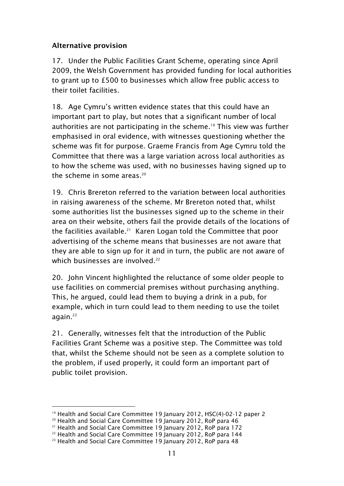### <span id="page-12-0"></span>**Alternative provision**

17. Under the Public Facilities Grant Scheme, operating since April 2009, the Welsh Government has provided funding for local authorities to grant up to £500 to businesses which allow free public access to their toilet facilities.

18. Age Cymru's written evidence states that this could have an important part to play, but notes that a significant number of local authorities are not participating in the scheme. <sup>19</sup> This view was further emphasised in oral evidence, with witnesses questioning whether the scheme was fit for purpose. Graeme Francis from Age Cymru told the Committee that there was a large variation across local authorities as to how the scheme was used, with no businesses having signed up to the scheme in some areas. 20

19. Chris Brereton referred to the variation between local authorities in raising awareness of the scheme. Mr Brereton noted that, whilst some authorities list the businesses signed up to the scheme in their area on their website, others fail the provide details of the locations of the facilities available. 21 Karen Logan told the Committee that poor advertising of the scheme means that businesses are not aware that they are able to sign up for it and in turn, the public are not aware of which businesses are involved.<sup>22</sup>

20. John Vincent highlighted the reluctance of some older people to use facilities on commercial premises without purchasing anything. This, he argued, could lead them to buying a drink in a pub, for example, which in turn could lead to them needing to use the toilet again. 23

21. Generally, witnesses felt that the introduction of the Public Facilities Grant Scheme was a positive step. The Committee was told that, whilst the Scheme should not be seen as a complete solution to the problem, if used properly, it could form an important part of public toilet provision.

<sup>-</sup><sup>19</sup> Health and Social Care Committee 19 January 2012, HSC(4)-02-12 paper 2

<sup>20</sup> Health and Social Care Committee 19 January 2012, RoP para 46

<sup>21</sup> Health and Social Care Committee 19 January 2012, RoP para 172

<sup>22</sup> Health and Social Care Committee 19 January 2012, RoP para 144

<sup>&</sup>lt;sup>23</sup> Health and Social Care Committee 19 January 2012, RoP para 48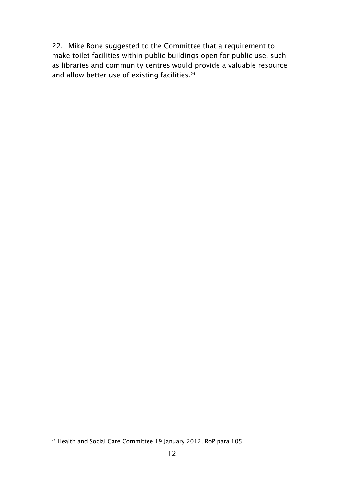22. Mike Bone suggested to the Committee that a requirement to make toilet facilities within public buildings open for public use, such as libraries and community centres would provide a valuable resource and allow better use of existing facilities. 24

<sup>-</sup><sup>24</sup> Health and Social Care Committee 19 January 2012, RoP para 105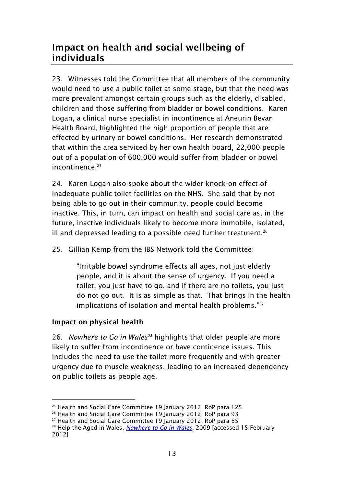# <span id="page-14-0"></span>**Impact on health and social wellbeing of individuals**

23. Witnesses told the Committee that all members of the community would need to use a public toilet at some stage, but that the need was more prevalent amongst certain groups such as the elderly, disabled, children and those suffering from bladder or bowel conditions. Karen Logan, a clinical nurse specialist in incontinence at Aneurin Bevan Health Board, highlighted the high proportion of people that are effected by urinary or bowel conditions. Her research demonstrated that within the area serviced by her own health board, 22,000 people out of a population of 600,000 would suffer from bladder or bowel incontinence. 25

24. Karen Logan also spoke about the wider knock-on effect of inadequate public toilet facilities on the NHS. She said that by not being able to go out in their community, people could become inactive. This, in turn, can impact on health and social care as, in the future, inactive individuals likely to become more immobile, isolated, ill and depressed leading to a possible need further treatment.<sup>26</sup>

25. Gillian Kemp from the IBS Network told the Committee:

"Irritable bowel syndrome effects all ages, not just elderly people, and it is about the sense of urgency. If you need a toilet, you just have to go, and if there are no toilets, you just do not go out. It is as simple as that. That brings in the health implications of isolation and mental health problems."27

## <span id="page-14-1"></span>**Impact on physical health**

26. *Nowhere to Go in Wales<sup>28</sup>* highlights that older people are more likely to suffer from incontinence or have continence issues. This includes the need to use the toilet more frequently and with greater urgency due to muscle weakness, leading to an increased dependency on public toilets as people age.

<sup>-</sup><sup>25</sup> Health and Social Care Committee 19 January 2012, RoP para 125

<sup>&</sup>lt;sup>26</sup> Health and Social Care Committee 19 January 2012, RoP para 93

<sup>27</sup> Health and Social Care Committee 19 January 2012, RoP para 85

<sup>&</sup>lt;sup>28</sup> Help the Aged in Wales, *[Nowhere to Go in Wales](http://www.senedd.assemblywales.org/documents/s1121/P-03-292%20Adequate%20public%20toilet%20provision.pdf)*, 2009 [accessed 15 February 2012]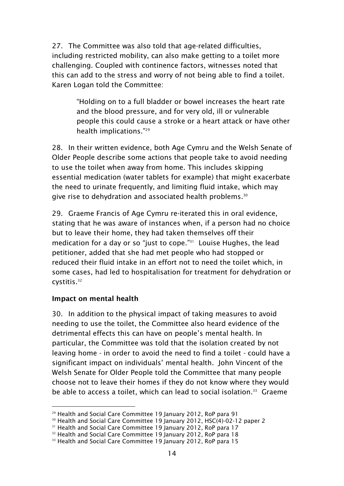27. The Committee was also told that age-related difficulties, including restricted mobility, can also make getting to a toilet more challenging. Coupled with continence factors, witnesses noted that this can add to the stress and worry of not being able to find a toilet. Karen Logan told the Committee:

> "Holding on to a full bladder or bowel increases the heart rate and the blood pressure, and for very old, ill or vulnerable people this could cause a stroke or a heart attack or have other health implications."<sup>29</sup>

28. In their written evidence, both Age Cymru and the Welsh Senate of Older People describe some actions that people take to avoid needing to use the toilet when away from home. This includes skipping essential medication (water tablets for example) that might exacerbate the need to urinate frequently, and limiting fluid intake, which may give rise to dehydration and associated health problems.<sup>30</sup>

29. Graeme Francis of Age Cymru re-iterated this in oral evidence, stating that he was aware of instances when, if a person had no choice but to leave their home, they had taken themselves off their medication for a day or so "just to cope." 31 Louise Hughes, the lead petitioner, added that she had met people who had stopped or reduced their fluid intake in an effort not to need the toilet which, in some cases, had led to hospitalisation for treatment for dehydration or cystitis. 32

### <span id="page-15-0"></span>**Impact on mental health**

-

30. In addition to the physical impact of taking measures to avoid needing to use the toilet, the Committee also heard evidence of the detrimental effects this can have on people's mental health. In particular, the Committee was told that the isolation created by not leaving home - in order to avoid the need to find a toilet - could have a significant impact on individuals' mental health. John Vincent of the Welsh Senate for Older People told the Committee that many people choose not to leave their homes if they do not know where they would be able to access a toilet, which can lead to social isolation. 33 Graeme

<sup>&</sup>lt;sup>29</sup> Health and Social Care Committee 19 January 2012, RoP para 91

<sup>&</sup>lt;sup>30</sup> Health and Social Care Committee 19 January 2012, HSC(4)-02-12 paper 2

<sup>&</sup>lt;sup>31</sup> Health and Social Care Committee 19 January 2012, RoP para 17

<sup>&</sup>lt;sup>32</sup> Health and Social Care Committee 19 January 2012, RoP para 18

<sup>&</sup>lt;sup>33</sup> Health and Social Care Committee 19 January 2012, RoP para 15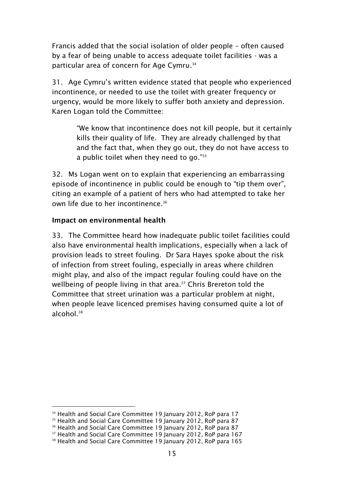Francis added that the social isolation of older people – often caused by a fear of being unable to access adequate toilet facilities - was a particular area of concern for Age Cymru. 34

31. Age Cymru's written evidence stated that people who experienced incontinence, or needed to use the toilet with greater frequency or urgency, would be more likely to suffer both anxiety and depression. Karen Logan told the Committee:

> "We know that incontinence does not kill people, but it certainly kills their quality of life. They are already challenged by that and the fact that, when they go out, they do not have access to a public toilet when they need to go." $35$

32. Ms Logan went on to explain that experiencing an embarrassing episode of incontinence in public could be enough to "tip them over", citing an example of a patient of hers who had attempted to take her own life due to her incontinence. 36

### <span id="page-16-0"></span>**Impact on environmental health**

-

33. The Committee heard how inadequate public toilet facilities could also have environmental health implications, especially when a lack of provision leads to street fouling. Dr Sara Hayes spoke about the risk of infection from street fouling, especially in areas where children might play, and also of the impact regular fouling could have on the wellbeing of people living in that area. <sup>37</sup> Chris Brereton told the Committee that street urination was a particular problem at night, when people leave licenced premises having consumed quite a lot of alcohol. 38

<sup>&</sup>lt;sup>34</sup> Health and Social Care Committee 19 January 2012, RoP para 17

<sup>&</sup>lt;sup>35</sup> Health and Social Care Committee 19 January 2012, RoP para 87

<sup>&</sup>lt;sup>36</sup> Health and Social Care Committee 19 January 2012, RoP para 87

<sup>&</sup>lt;sup>37</sup> Health and Social Care Committee 19 January 2012, RoP para 167

<sup>&</sup>lt;sup>38</sup> Health and Social Care Committee 19 January 2012, RoP para 165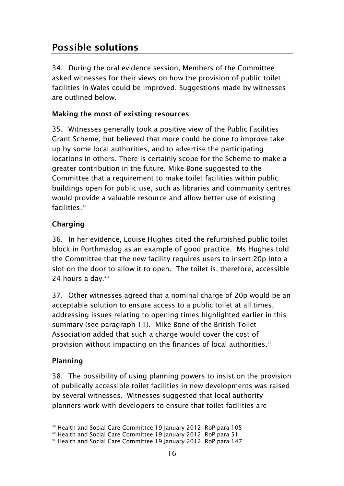# <span id="page-17-0"></span>**Possible solutions**

34. During the oral evidence session, Members of the Committee asked witnesses for their views on how the provision of public toilet facilities in Wales could be improved. Suggestions made by witnesses are outlined below.

# <span id="page-17-1"></span>**Making the most of existing resources**

35. Witnesses generally took a positive view of the Public Facilities Grant Scheme, but believed that more could be done to improve take up by some local authorities, and to advertise the participating locations in others. There is certainly scope for the Scheme to make a greater contribution in the future. Mike Bone suggested to the Committee that a requirement to make toilet facilities within public buildings open for public use, such as libraries and community centres would provide a valuable resource and allow better use of existing facilities. 39

# <span id="page-17-2"></span>**Charging**

36. In her evidence, Louise Hughes cited the refurbished public toilet block in Porthmadog as an example of good practice. Ms Hughes told the Committee that the new facility requires users to insert 20p into a slot on the door to allow it to open. The toilet is, therefore, accessible 24 hours a day. 40

37. Other witnesses agreed that a nominal charge of 20p would be an acceptable solution to ensure access to a public toilet at all times, addressing issues relating to opening times highlighted earlier in this summary (see paragraph 11). Mike Bone of the British Toilet Association added that such a charge would cover the cost of provision without impacting on the finances of local authorities. 41

## <span id="page-17-3"></span>**Planning**

-

38. The possibility of using planning powers to insist on the provision of publically accessible toilet facilities in new developments was raised by several witnesses. Witnesses suggested that local authority planners work with developers to ensure that toilet facilities are

<sup>&</sup>lt;sup>39</sup> Health and Social Care Committee 19 January 2012, RoP para 105

<sup>40</sup> Health and Social Care Committee 19 January 2012, RoP para 51

<sup>41</sup> Health and Social Care Committee 19 January 2012, RoP para 147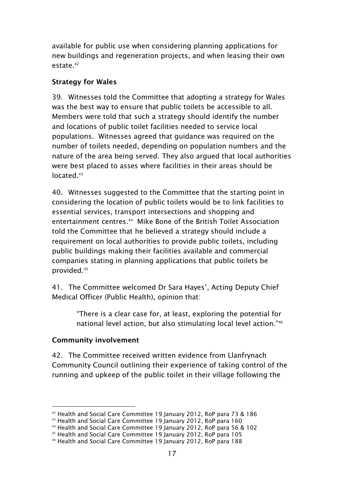available for public use when considering planning applications for new buildings and regeneration projects, and when leasing their own estate. 42

### <span id="page-18-0"></span>**Strategy for Wales**

39. Witnesses told the Committee that adopting a strategy for Wales was the best way to ensure that public toilets be accessible to all. Members were told that such a strategy should identify the number and locations of public toilet facilities needed to service local populations. Witnesses agreed that guidance was required on the number of toilets needed, depending on population numbers and the nature of the area being served. They also argued that local authorities were best placed to asses where facilities in their areas should be located.<sup>43</sup>

40. Witnesses suggested to the Committee that the starting point in considering the location of public toilets would be to link facilities to essential services, transport intersections and shopping and entertainment centres. 44 Mike Bone of the British Toilet Association told the Committee that he believed a strategy should include a requirement on local authorities to provide public toilets, including public buildings making their facilities available and commercial companies stating in planning applications that public toilets be provided. 45

41. The Committee welcomed Dr Sara Hayes', Acting Deputy Chief Medical Officer (Public Health), opinion that:

> "There is a clear case for, at least, exploring the potential for national level action, but also stimulating local level action."<sup>46</sup>

## <span id="page-18-1"></span>**Community involvement**

42. The Committee received written evidence from Llanfrynach Community Council outlining their experience of taking control of the running and upkeep of the public toilet in their village following the

<sup>-</sup><sup>42</sup> Health and Social Care Committee 19 January 2012, RoP para 73 & 186

<sup>43</sup> Health and Social Care Committee 19 January 2012, RoP para 160

<sup>44</sup> Health and Social Care Committee 19 January 2012, RoP para 56 & 102

<sup>45</sup> Health and Social Care Committee 19 January 2012, RoP para 105

<sup>46</sup> Health and Social Care Committee 19 January 2012, RoP para 188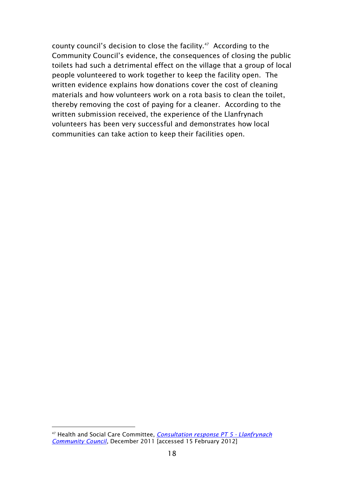county council's decision to close the facility. $47$  According to the Community Council's evidence, the consequences of closing the public toilets had such a detrimental effect on the village that a group of local people volunteered to work together to keep the facility open. The written evidence explains how donations cover the cost of cleaning materials and how volunteers work on a rota basis to clean the toilet, thereby removing the cost of paying for a cleaner. According to the written submission received, the experience of the Llanfrynach volunteers has been very successful and demonstrates how local communities can take action to keep their facilities open.

-

<sup>47</sup> Health and Social Care Committee, *[Consultation response PT 5 -](http://www.senedd.assemblywales.org/documents/s4678/Consultation%20response%20PT%205%20-%20Llanfrynach%20Community%20Council.pdf) Llanfrynach [Community Council](http://www.senedd.assemblywales.org/documents/s4678/Consultation%20response%20PT%205%20-%20Llanfrynach%20Community%20Council.pdf)*, December 2011 [accessed 15 February 2012]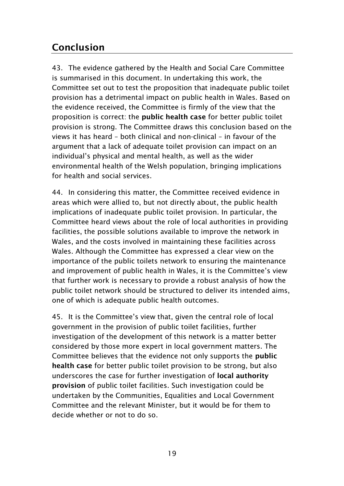# <span id="page-20-0"></span>**Conclusion**

43. The evidence gathered by the Health and Social Care Committee is summarised in this document. In undertaking this work, the Committee set out to test the proposition that inadequate public toilet provision has a detrimental impact on public health in Wales. Based on the evidence received, the Committee is firmly of the view that the proposition is correct: the **public health case** for better public toilet provision is strong. The Committee draws this conclusion based on the views it has heard – both clinical and non-clinical – in favour of the argument that a lack of adequate toilet provision can impact on an individual's physical and mental health, as well as the wider environmental health of the Welsh population, bringing implications for health and social services.

44. In considering this matter, the Committee received evidence in areas which were allied to, but not directly about, the public health implications of inadequate public toilet provision. In particular, the Committee heard views about the role of local authorities in providing facilities, the possible solutions available to improve the network in Wales, and the costs involved in maintaining these facilities across Wales. Although the Committee has expressed a clear view on the importance of the public toilets network to ensuring the maintenance and improvement of public health in Wales, it is the Committee's view that further work is necessary to provide a robust analysis of how the public toilet network should be structured to deliver its intended aims, one of which is adequate public health outcomes.

45. It is the Committee's view that, given the central role of local government in the provision of public toilet facilities, further investigation of the development of this network is a matter better considered by those more expert in local government matters. The Committee believes that the evidence not only supports the **public health case** for better public toilet provision to be strong, but also underscores the case for further investigation of **local authority provision** of public toilet facilities. Such investigation could be undertaken by the Communities, Equalities and Local Government Committee and the relevant Minister, but it would be for them to decide whether or not to do so.